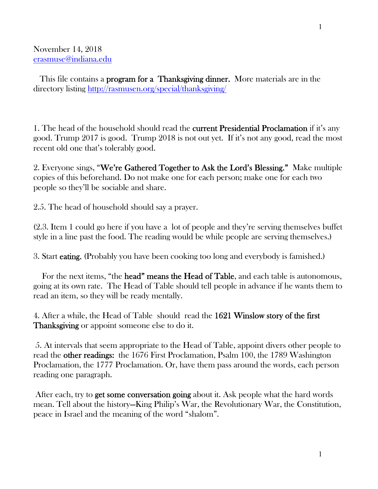#### November 14, 2018 erasmuse@indiana.edu

This file contains a **program for a Thanksgiving dinner.** More materials are in the directory listing http://rasmusen.org/special/thanksgiving/

1. The head of the household should read the **current Presidential Proclamation** if it's any good. Trump 2017 is good. Trump 2018 is not out yet. If it's not any good, read the most recent old one that's tolerably good.

2. Everyone sings, "We're Gathered Together to Ask the Lord's Blessing." Make multiple copies of this beforehand. Do not make one for each person; make one for each two people so they'll be sociable and share.

2.5. The head of household should say a prayer.

(2.3. Item 1 could go here if you have a lot of people and they're serving themselves buffet style in a line past the food. The reading would be while people are serving themselves.)

3. Start eating. (Probably you have been cooking too long and everybody is famished.)

For the next items, "the **head" means the Head of Table**, and each table is autonomous, going at its own rate. The Head of Table should tell people in advance if he wants them to read an item, so they will be ready mentally.

4. After a while, the Head of Table should read the 1621 Winslow story of the first Thanksgiving or appoint someone else to do it.

 5. At intervals that seem appropriate to the Head of Table, appoint divers other people to read the other readings: the 1676 First Proclamation, Psalm 100, the 1789 Washington Proclamation, the 1777 Proclamation. Or, have them pass around the words, each person reading one paragraph.

After each, try to **get some conversation going** about it. Ask people what the hard words mean. Tell about the history—King Philip's War, the Revolutionary War, the Constitution, peace in Israel and the meaning of the word "shalom".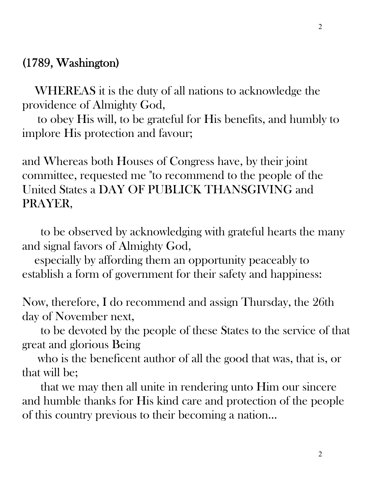## (1789, Washington)

 WHEREAS it is the duty of all nations to acknowledge the providence of Almighty God,

 to obey His will, to be grateful for His benefits, and humbly to implore His protection and favour;

and Whereas both Houses of Congress have, by their joint committee, requested me "to recommend to the people of the United States a DAY OF PUBLICK THANSGIVING and PRAYER,

 to be observed by acknowledging with grateful hearts the many and signal favors of Almighty God,

 especially by affording them an opportunity peaceably to establish a form of government for their safety and happiness:

Now, therefore, I do recommend and assign Thursday, the 26th day of November next,

 to be devoted by the people of these States to the service of that great and glorious Being

 who is the beneficent author of all the good that was, that is, or that will be;

 that we may then all unite in rendering unto Him our sincere and humble thanks for His kind care and protection of the people of this country previous to their becoming a nation...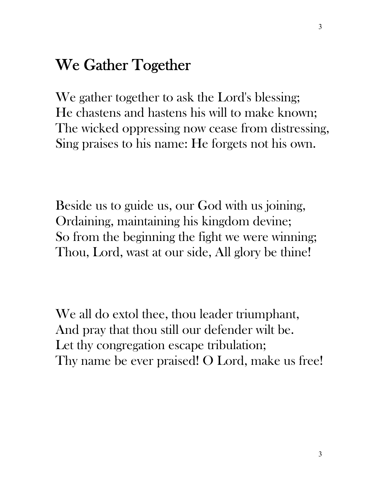# We Gather Together

We gather together to ask the Lord's blessing; He chastens and hastens his will to make known; The wicked oppressing now cease from distressing, Sing praises to his name: He forgets not his own.

Beside us to guide us, our God with us joining, Ordaining, maintaining his kingdom devine; So from the beginning the fight we were winning; Thou, Lord, wast at our side, All glory be thine!

We all do extol thee, thou leader triumphant, And pray that thou still our defender wilt be. Let thy congregation escape tribulation; Thy name be ever praised! O Lord, make us free!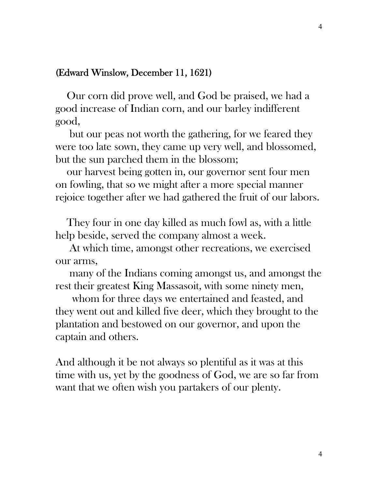#### (Edward Winslow, December 11, 1621)

 Our corn did prove well, and God be praised, we had a good increase of Indian corn, and our barley indifferent good,

 but our peas not worth the gathering, for we feared they were too late sown, they came up very well, and blossomed, but the sun parched them in the blossom;

 our harvest being gotten in, our governor sent four men on fowling, that so we might after a more special manner rejoice together after we had gathered the fruit of our labors.

 They four in one day killed as much fowl as, with a little help beside, served the company almost a week.

 At which time, amongst other recreations, we exercised our arms,

 many of the Indians coming amongst us, and amongst the rest their greatest King Massasoit, with some ninety men,

 whom for three days we entertained and feasted, and they went out and killed five deer, which they brought to the plantation and bestowed on our governor, and upon the captain and others.

And although it be not always so plentiful as it was at this time with us, yet by the goodness of God, we are so far from want that we often wish you partakers of our plenty.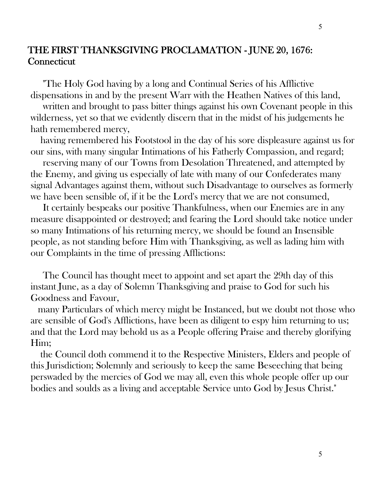### THE FIRST THANKSGIVING PROCLAMATION - JUNE 20, 1676: **Connecticut**

 "The Holy God having by a long and Continual Series of his Afflictive dispensations in and by the present Warr with the Heathen Natives of this land,

written and brought to pass bitter things against his own Covenant people in this wilderness, yet so that we evidently discern that in the midst of his judgements he hath remembered mercy,

 having remembered his Footstool in the day of his sore displeasure against us for our sins, with many singular Intimations of his Fatherly Compassion, and regard;

 reserving many of our Towns from Desolation Threatened, and attempted by the Enemy, and giving us especially of late with many of our Confederates many signal Advantages against them, without such Disadvantage to ourselves as formerly we have been sensible of, if it be the Lord's mercy that we are not consumed,

 It certainly bespeaks our positive Thankfulness, when our Enemies are in any measure disappointed or destroyed; and fearing the Lord should take notice under so many Intimations of his returning mercy, we should be found an Insensible people, as not standing before Him with Thanksgiving, as well as lading him with our Complaints in the time of pressing Afflictions:

 The Council has thought meet to appoint and set apart the 29th day of this instant June, as a day of Solemn Thanksgiving and praise to God for such his Goodness and Favour,

 many Particulars of which mercy might be Instanced, but we doubt not those who are sensible of God's Afflictions, have been as diligent to espy him returning to us; and that the Lord may behold us as a People offering Praise and thereby glorifying Him;

 the Council doth commend it to the Respective Ministers, Elders and people of this Jurisdiction; Solemnly and seriously to keep the same Beseeching that being perswaded by the mercies of God we may all, even this whole people offer up our bodies and soulds as a living and acceptable Service unto God by Jesus Christ."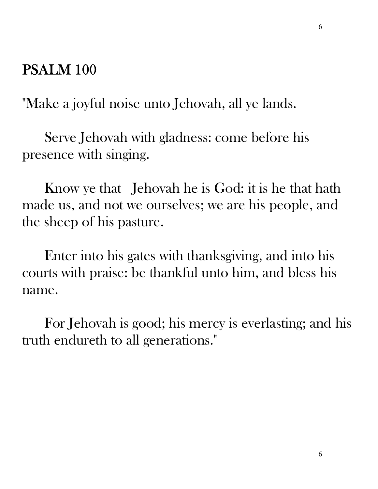## PSALM 100

"Make a joyful noise unto Jehovah, all ye lands.

 Serve Jehovah with gladness: come before his presence with singing.

 Know ye that Jehovah he is God: it is he that hath made us, and not we ourselves; we are his people, and the sheep of his pasture.

 Enter into his gates with thanksgiving, and into his courts with praise: be thankful unto him, and bless his name.

 For Jehovah is good; his mercy is everlasting; and his truth endureth to all generations."